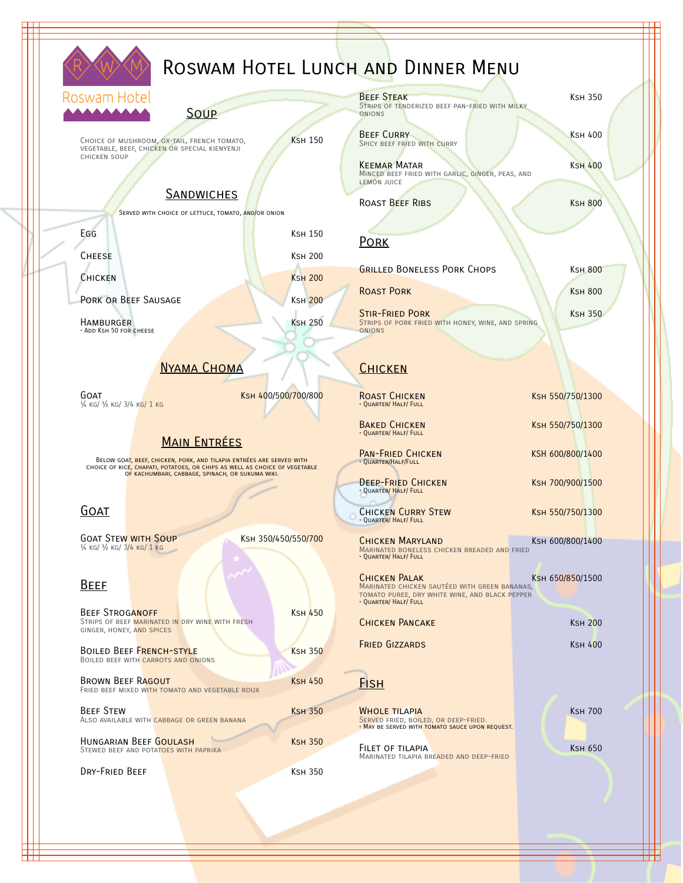

# ROSWAM HOTEL LUNCH AND DINNER MENU

#### Roswam Hotel

**Soup** 

Choice of Mushroom, OX-Tail, French tomato, KSH 150 vegetable, beef, chicken or special kienyenji chicken soup

### **SANDWICHES**

Served with choice of lettuce, tomato, and/or onion

EGG KSH 150

CHEESE KSH 200

CHICKEN KSH 200

PORK OR BEEF SAUSAGE KSH 200

Hamburger Ksh 250 • Add Ksh 50 for cheese

## NYAMA CHOMA

¼ kg/ ½ kg/ 3/4 kg/ 1 kg

GOAT GOAT **KSH 400/500<mark>/70</mark>0/800** 

### Main Entrées

BELOW GOA<mark>T, BEEF, CHICKEN, PORK, AND TILAPIA ENTRÉES ARE SERVED WITH</mark><br>CHOICE OF RICE<mark>, CHAPATI, POTATOES, OR CHIPS AS WELL AS CHOICE OF VEGETABLE</mark><br>OF KACHUMBARI, CABBAGE, SPINACH, OR SUKUMA WIKI.

#### Goat

GOAT STEW WITH SOUP KSH 350/450/550/700 ¼ kg/ ½ kg/ 3/4 kg/ 1 kg

#### Beef

| <b>BEEF STROGANOFF</b><br>GINGER, HONEY, AND SPICES                         | STRIPS OF BEEF MARINATED IN DRY WINE WITH FRESH | <b>KSH 450</b> |
|-----------------------------------------------------------------------------|-------------------------------------------------|----------------|
| <b>BOILED BEEF FRENCH-STYLE</b><br>BOILED BEEF WITH CARROTS AND ONIONS      |                                                 | <b>KSH 350</b> |
| <b>BROWN BEEF RAGOUT</b><br>FRIED BEEF MIXED WITH TOMATO AND VEGETABLE ROUX | <b>KSH 450</b>                                  |                |
| <b>BEEF STEW</b><br>ALSO AVAILABLE WITH CABBAGE OR GREEN BANANA             |                                                 | <b>KSH 350</b> |
| HUNGARIAN BEEF GOULASH<br>STEWED BEEF AND POTATOES WITH PAPRIKA             |                                                 | <b>KSH 350</b> |
| DRY-FRIED BEEF                                                              |                                                 | Ksн 350        |

| <b>BEEF STEAK</b><br>STRIPS OF TENDERIZED BEEF PAN-FRIED WITH MILKY                           | <b>KSH 350</b> |
|-----------------------------------------------------------------------------------------------|----------------|
| <b>ONIONS</b><br><b>BEEF CURRY</b><br>SPICY BEEF FRIED WITH CURRY                             | KSH 400        |
| <b>KEEMAR MATAR</b><br>MINCED BEEF FRIED WITH GARLIC, GINGER, PEAS, AND<br><b>LEMON JUICE</b> | <b>KSH 400</b> |
| <b>ROAST BEEF RIBS</b>                                                                        | <b>KSH 800</b> |

#### Pork

GRILLED BONELESS PORK CHOPS KSH 800 ROAST PORK KSH 800

STIR-FRIED PORK KSH 350 Strips of pork fried with honey, wine, and spring onions

### **CHICKEN**

ROAST CHICKEN KSH 550/750/1300 • Quarter/ Half/ Full

• Quarter/ Half/ Full

PAN-FRIED CHICKEN KSH 600/800/1400 · QUARTER/HALF/FULL

DEEP-FRIED CHICKEN KSH 700/900/1500 • Quarter/ Half/ Full

CHICKEN CURRY STEW KSH 550/750/1300 • Quarter/ Half/ Full

 $\rm C$ hicken Maryland<br>Marinated boneless chicken breaded and fried<br>• Quarter/ Half/ Full

Chicken Palak<br>Marinated chicken sautéed with green bananas,<br>tomato puree, dry white wine, and black pepper<br>• Quarter/ Half/ Full

| CHICKEN PANCAKE | K <sub>SH</sub> 200 |
|-----------------|---------------------|
| FRIED GIZZARDS  | KSH 400             |

### **FISH**

**WHOLE TILAPIA** KSH 700 <mark>Serve</mark>d fried, bo<mark>iled, or deep-fried.</mark><br>• May be served with <mark>tomato sauce upon request.</mark>

FILET OF TILAPIA KSH 650 Marinated tilapia breaded and deep-fried

BAKED CHICKEN KSH 550/750/1300